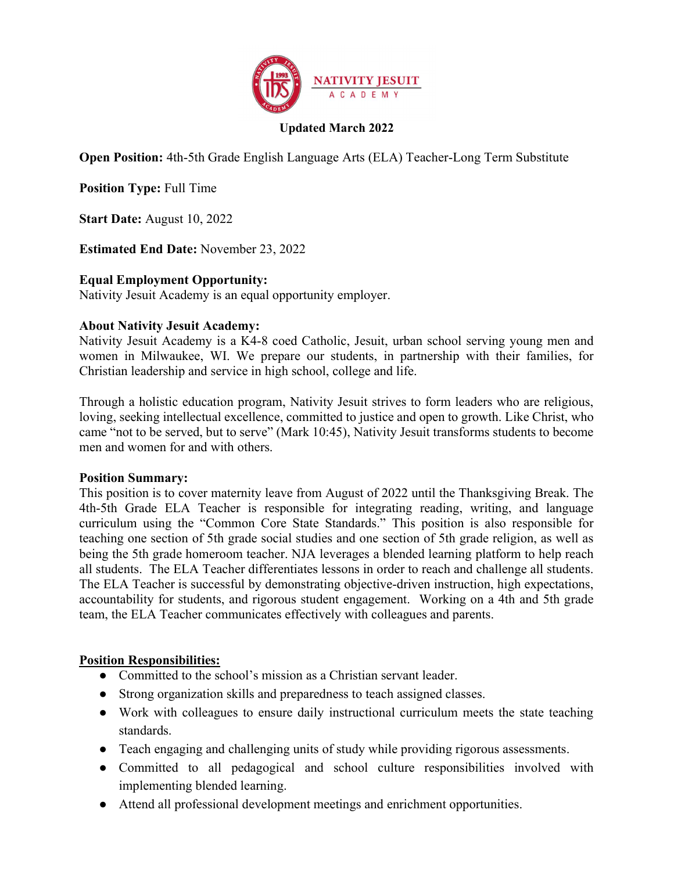

## Updated March 2022

Open Position: 4th-5th Grade English Language Arts (ELA) Teacher-Long Term Substitute

Position Type: Full Time

Start Date: August 10, 2022

Estimated End Date: November 23, 2022

### Equal Employment Opportunity:

Nativity Jesuit Academy is an equal opportunity employer.

#### About Nativity Jesuit Academy:

Nativity Jesuit Academy is a K4-8 coed Catholic, Jesuit, urban school serving young men and women in Milwaukee, WI. We prepare our students, in partnership with their families, for Christian leadership and service in high school, college and life.

Through a holistic education program, Nativity Jesuit strives to form leaders who are religious, loving, seeking intellectual excellence, committed to justice and open to growth. Like Christ, who came "not to be served, but to serve" (Mark 10:45), Nativity Jesuit transforms students to become men and women for and with others.

#### Position Summary:

This position is to cover maternity leave from August of 2022 until the Thanksgiving Break. The 4th-5th Grade ELA Teacher is responsible for integrating reading, writing, and language curriculum using the "Common Core State Standards." This position is also responsible for teaching one section of 5th grade social studies and one section of 5th grade religion, as well as being the 5th grade homeroom teacher. NJA leverages a blended learning platform to help reach all students. The ELA Teacher differentiates lessons in order to reach and challenge all students. The ELA Teacher is successful by demonstrating objective-driven instruction, high expectations, accountability for students, and rigorous student engagement. Working on a 4th and 5th grade team, the ELA Teacher communicates effectively with colleagues and parents.

### Position Responsibilities:

- Committed to the school's mission as a Christian servant leader.
- Strong organization skills and preparedness to teach assigned classes.
- Work with colleagues to ensure daily instructional curriculum meets the state teaching standards.
- Teach engaging and challenging units of study while providing rigorous assessments.
- Committed to all pedagogical and school culture responsibilities involved with implementing blended learning.
- Attend all professional development meetings and enrichment opportunities.